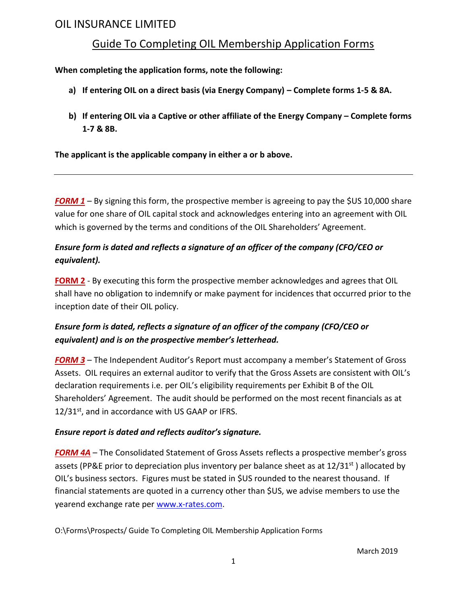# OIL INSURANCE LIMITED

## Guide To Completing OIL Membership Application Forms

#### **When completing the application forms, note the following:**

- **a) If entering OIL on a direct basis (via Energy Company) – Complete forms 1-5 & 8A.**
- **b) If entering OIL via a Captive or other affiliate of the Energy Company – Complete forms 1-7 & 8B.**

**The applicant is the applicable company in either a or b above.**

which is governed by the terms and conditions of the OIL Shareholders' Agreement. value for one share of OIL capital stock and acknowledges entering into an agreement with OIL *FORM 1* – By signing this form, the prospective member is agreeing to pay the \$US 10,000 share

### *equivalent). Ensure form is dated and reflects a signature of an officer of the company (CFO/CEO or*

inception date of their OIL policy. shall have no obligation to indemnify or make payment for incidences that occurred prior to the **FORM 2** - By executing this form the prospective member acknowledges and agrees that OIL

## *equivalent) and is on the prospective member's letterhead. Ensure form is dated, reflects a signature of an officer of the company (CFO/CEO or*

 $12/31<sup>st</sup>$ , and in accordance with US GAAP or IFRS. Shareholders' Agreement. The audit should be performed on the most recent financials as at declaration requirements i.e. per OIL's eligibility requirements per Exhibit B of the OIL Assets. OIL requires an external auditor to verify that the Gross Assets are consistent with OIL's *FORM 3* – The Independent Auditor's Report must accompany a member's Statement of Gross

### *Ensure report is dated and reflects auditor's signature.*

yearend exchange rate per [www.x-rates.com.](http://www.x-rates.com/) financial statements are quoted in a currency other than \$US, we advise members to use the OIL's business sectors. Figures must be stated in \$US rounded to the nearest thousand. If assets (PP&E prior to depreciation plus inventory per balance sheet as at  $12/31^{st}$ ) allocated by *FORM 4A* – The Consolidated Statement of Gross Assets reflects a prospective member's gross

O:\Forms\Prospects/ Guide To Completing OIL Membership Application Forms